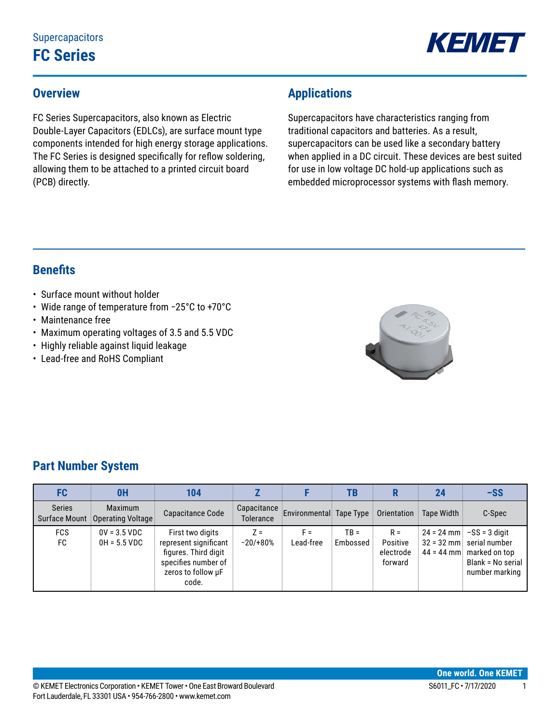

### **Overview**

FC Series Supercapacitors, also known as Electric Double-Layer Capacitors (EDLCs), are surface mount type components intended for high energy storage applications. The FC Series is designed specifically for reflow soldering, allowing them to be attached to a printed circuit board (PCB) directly.

### **Applications**

Supercapacitors have characteristics ranging from traditional capacitors and batteries. As a result, supercapacitors can be used like a secondary battery when applied in a DC circuit. These devices are best suited for use in low voltage DC hold-up applications such as embedded microprocessor systems with flash memory.

### **Benefits**

- Surface mount without holder
- • Wide range of temperature from −25°C to +70°C
- Maintenance free
- Maximum operating voltages of 3.5 and 5.5 VDC
- Highly reliable against liquid leakage
- Lead-free and RoHS Compliant



### **Part Number System**

| <b>FC</b>                             | 0H                                         | 104                                                                                                                     |                          |                         | ΤB                 |                                           | 24         | $-SS$                                                                                                                                 |
|---------------------------------------|--------------------------------------------|-------------------------------------------------------------------------------------------------------------------------|--------------------------|-------------------------|--------------------|-------------------------------------------|------------|---------------------------------------------------------------------------------------------------------------------------------------|
| <b>Series</b><br><b>Surface Mount</b> | <b>Maximum</b><br><b>Operating Voltage</b> | Capacitance Code                                                                                                        | Capacitance<br>Tolerance | Environmental Tape Type |                    | Orientation                               | Tape Width | C-Spec                                                                                                                                |
| <b>FCS</b><br>FC.                     | $0V = 3.5 VDC$<br>$OH = 5.5 VDC$           | First two digits<br>represent significant<br>figures. Third digit<br>specifies number of<br>zeros to follow µF<br>code. | $7 =$<br>$-20/180%$      | $F =$<br>Lead-free      | $TR =$<br>Embossed | $R =$<br>Positive<br>electrode<br>forward |            | $24 = 24$ mm $\vert -SS = 3$ digit<br>$32 = 32$ mm serial number<br>$44 = 44$ mm marked on top<br>Blank = No serial<br>number marking |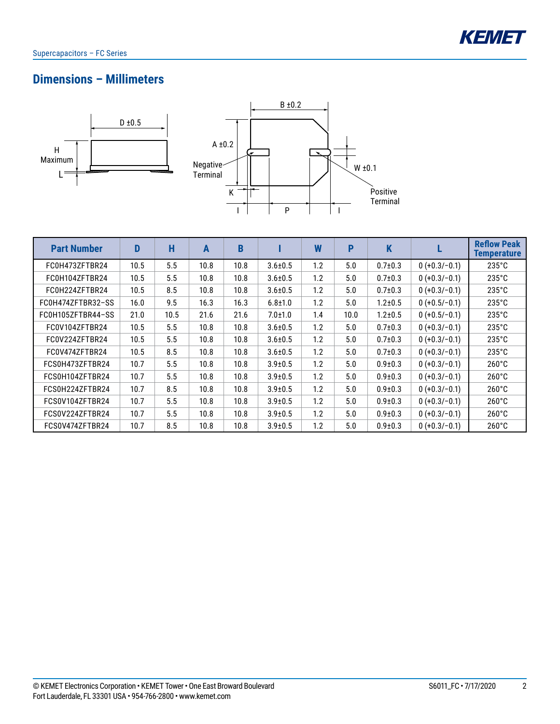### **Dimensions – Millimeters**



| <b>Part Number</b> | D    | Н    | A    | B    |               | W   | P    | $\mathbf K$   |                 | <b>Reflow Peak</b><br><b>Temperature</b> |
|--------------------|------|------|------|------|---------------|-----|------|---------------|-----------------|------------------------------------------|
| FC0H473ZFTBR24     | 10.5 | 5.5  | 10.8 | 10.8 | $3.6 \pm 0.5$ | 1.2 | 5.0  | $0.7 \pm 0.3$ | $0 (+0.3/-0.1)$ | $235^{\circ}$ C                          |
| FC0H104ZFTBR24     | 10.5 | 5.5  | 10.8 | 10.8 | $3.6 \pm 0.5$ | 1.2 | 5.0  | $0.7 + 0.3$   | $0 (+0.3/-0.1)$ | $235^{\circ}$ C                          |
| FC0H224ZFTBR24     | 10.5 | 8.5  | 10.8 | 10.8 | $3.6 \pm 0.5$ | 1.2 | 5.0  | $0.7 \pm 0.3$ | $0 (+0.3/-0.1)$ | $235^{\circ}$ C                          |
| FC0H474ZFTBR32-SS  | 16.0 | 9.5  | 16.3 | 16.3 | $6.8 \pm 1.0$ | 1.2 | 5.0  | $1.2 + 0.5$   | $0 (+0.5/-0.1)$ | $235^{\circ}$ C                          |
| FC0H105ZFTBR44-SS  | 21.0 | 10.5 | 21.6 | 21.6 | $7.0 \pm 1.0$ | 1.4 | 10.0 | $1.2 + 0.5$   | $0 (+0.5/-0.1)$ | $235^{\circ}$ C                          |
| FC0V104ZFTBR24     | 10.5 | 5.5  | 10.8 | 10.8 | $3.6 \pm 0.5$ | 1.2 | 5.0  | $0.7 \pm 0.3$ | $0 (+0.3/-0.1)$ | $235^{\circ}$ C                          |
| FC0V224ZFTBR24     | 10.5 | 5.5  | 10.8 | 10.8 | $3.6 \pm 0.5$ | 1.2 | 5.0  | $0.7 \pm 0.3$ | $0 (+0.3/-0.1)$ | $235^{\circ}$ C                          |
| FC0V474ZFTBR24     | 10.5 | 8.5  | 10.8 | 10.8 | $3.6 \pm 0.5$ | 1.2 | 5.0  | $0.7 \pm 0.3$ | $0 (+0.3/-0.1)$ | $235^{\circ}$ C                          |
| FCS0H473ZFTBR24    | 10.7 | 5.5  | 10.8 | 10.8 | $3.9 \pm 0.5$ | 1.2 | 5.0  | $0.9 \pm 0.3$ | $0 (+0.3/-0.1)$ | $260^{\circ}$ C                          |
| FCS0H104ZFTBR24    | 10.7 | 5.5  | 10.8 | 10.8 | $3.9 \pm 0.5$ | 1.2 | 5.0  | $0.9 \pm 0.3$ | $0 (+0.3/-0.1)$ | $260^{\circ}$ C                          |
| FCS0H224ZFTBR24    | 10.7 | 8.5  | 10.8 | 10.8 | $3.9 \pm 0.5$ | 1.2 | 5.0  | $0.9 + 0.3$   | $0 (+0.3/-0.1)$ | $260^{\circ}$ C                          |
| FCS0V104ZFTBR24    | 10.7 | 5.5  | 10.8 | 10.8 | $3.9 \pm 0.5$ | 1.2 | 5.0  | $0.9 + 0.3$   | $0 (+0.3/-0.1)$ | $260^{\circ}$ C                          |
| FCS0V224ZFTBR24    | 10.7 | 5.5  | 10.8 | 10.8 | $3.9 \pm 0.5$ | 1.2 | 5.0  | $0.9 \pm 0.3$ | $0 (+0.3/-0.1)$ | $260^{\circ}$ C                          |
| FCS0V474ZFTBR24    | 10.7 | 8.5  | 10.8 | 10.8 | $3.9 + 0.5$   | 1.2 | 5.0  | $0.9 \pm 0.3$ | $0 (+0.3/-0.1)$ | $260^{\circ}$ C                          |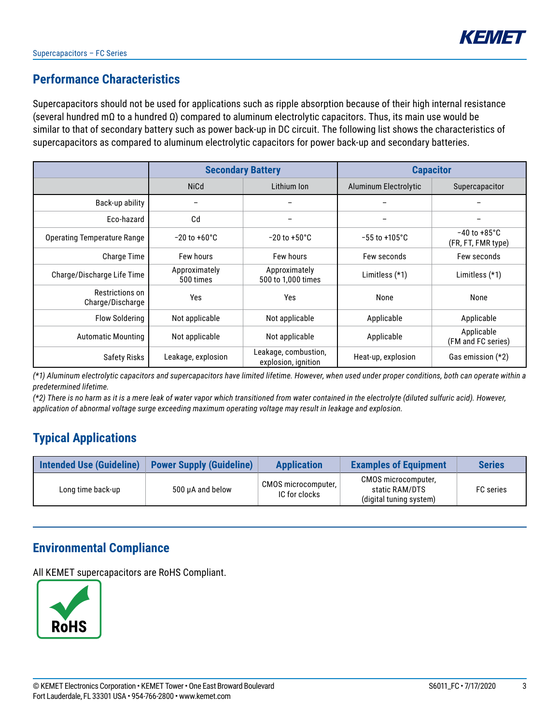### **Performance Characteristics**

Supercapacitors should not be used for applications such as ripple absorption because of their high internal resistance (several hundred mΩ to a hundred Ω) compared to aluminum electrolytic capacitors. Thus, its main use would be similar to that of secondary battery such as power back-up in DC circuit. The following list shows the characteristics of supercapacitors as compared to aluminum electrolytic capacitors for power back-up and secondary batteries.

|                                     |                            | <b>Secondary Battery</b>                    | <b>Capacitor</b>          |                                                |  |
|-------------------------------------|----------------------------|---------------------------------------------|---------------------------|------------------------------------------------|--|
|                                     | <b>NiCd</b>                | Lithium Ion                                 | Aluminum Electrolytic     | Supercapacitor                                 |  |
| Back-up ability                     |                            |                                             |                           |                                                |  |
| Eco-hazard                          | C <sub>d</sub>             |                                             |                           |                                                |  |
| <b>Operating Temperature Range</b>  | $-20$ to $+60^{\circ}$ C   | $-20$ to $+50^{\circ}$ C                    | $-55$ to $+105^{\circ}$ C | $-40$ to $+85^{\circ}$ C<br>(FR, FT, FMR type) |  |
| <b>Charge Time</b>                  | Few hours                  | Few hours                                   | Few seconds               | Few seconds                                    |  |
| Charge/Discharge Life Time          | Approximately<br>500 times | Approximately<br>500 to 1,000 times         | Limitless (*1)            | Limitless $(*1)$                               |  |
| Restrictions on<br>Charge/Discharge | Yes                        | Yes                                         | None                      | None                                           |  |
| <b>Flow Soldering</b>               | Not applicable             | Not applicable                              | Applicable                | Applicable                                     |  |
| <b>Automatic Mounting</b>           | Not applicable             | Not applicable                              | Applicable                | Applicable<br>(FM and FC series)               |  |
| <b>Safety Risks</b>                 | Leakage, explosion         | Leakage, combustion,<br>explosion, ignition | Heat-up, explosion        | Gas emission (*2)                              |  |

*(\*1) Aluminum electrolytic capacitors and supercapacitors have limited lifetime. However, when used under proper conditions, both can operate within a predetermined lifetime.*

*(\*2) There is no harm as it is a mere leak of water vapor which transitioned from water contained in the electrolyte (diluted sulfuric acid). However, application of abnormal voltage surge exceeding maximum operating voltage may result in leakage and explosion.*

### **Typical Applications**

| <b>Intended Use (Guideline)</b> | <b>Power Supply (Guideline)</b> | <b>Application</b>                   | <b>Examples of Equipment</b>                                     | <b>Series</b>    |
|---------------------------------|---------------------------------|--------------------------------------|------------------------------------------------------------------|------------------|
| Long time back-up               | 500 µA and below                | CMOS microcomputer,<br>IC for clocks | CMOS microcomputer,<br>static RAM/DTS<br>(digital tuning system) | <b>FC</b> series |

### **Environmental Compliance**

All KEMET supercapacitors are RoHS Compliant.

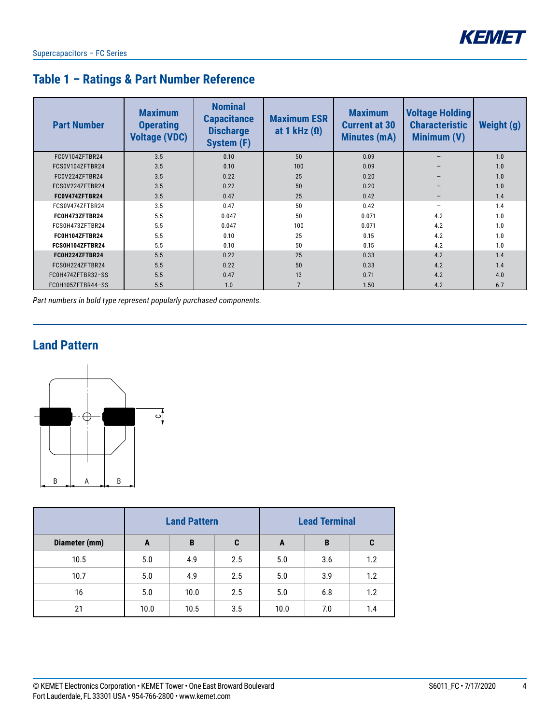

## **Table 1 – Ratings & Part Number Reference**

| <b>Part Number</b> | <b>Maximum</b><br><b>Operating</b><br><b>Voltage (VDC)</b> | <b>Nominal</b><br><b>Capacitance</b><br><b>Discharge</b><br>System (F) | <b>Maximum ESR</b><br>at 1 kHz $(\Omega)$ | <b>Maximum</b><br><b>Current at 30</b><br><b>Minutes (mA)</b> | <b>Voltage Holding</b><br><b>Characteristic</b><br>Minimum (V) | Weight (g) |
|--------------------|------------------------------------------------------------|------------------------------------------------------------------------|-------------------------------------------|---------------------------------------------------------------|----------------------------------------------------------------|------------|
| FC0V104ZFTBR24     | 3.5                                                        | 0.10                                                                   | 50                                        | 0.09                                                          | $\qquad \qquad$                                                | 1.0        |
| FCS0V104ZFTBR24    | 3.5                                                        | 0.10                                                                   | 100                                       | 0.09                                                          |                                                                | 1.0        |
| FC0V224ZFTBR24     | 3.5                                                        | 0.22                                                                   | 25                                        | 0.20                                                          |                                                                | 1.0        |
| FCS0V224ZFTBR24    | 3.5                                                        | 0.22                                                                   | 50                                        | 0.20                                                          |                                                                | 1.0        |
| FC0V474ZFTBR24     | 3.5                                                        | 0.47                                                                   | 25                                        | 0.42                                                          |                                                                | 1.4        |
| FCS0V474ZFTBR24    | 3.5                                                        | 0.47                                                                   | 50                                        | 0.42                                                          |                                                                | 1.4        |
| FC0H473ZFTBR24     | 5.5                                                        | 0.047                                                                  | 50                                        | 0.071                                                         | 4.2                                                            | 1.0        |
| FCS0H473ZFTBR24    | 5.5                                                        | 0.047                                                                  | 100                                       | 0.071                                                         | 4.2                                                            | 1.0        |
| FC0H104ZFTBR24     | 5.5                                                        | 0.10                                                                   | 25                                        | 0.15                                                          | 4.2                                                            | 1.0        |
| FCS0H104ZFTBR24    | 5.5                                                        | 0.10                                                                   | 50                                        | 0.15                                                          | 4.2                                                            | 1.0        |
| FC0H224ZFTBR24     | 5.5                                                        | 0.22                                                                   | 25                                        | 0.33                                                          | 4.2                                                            | 1.4        |
| FCS0H224ZFTBR24    | 5.5                                                        | 0.22                                                                   | 50                                        | 0.33                                                          | 4.2                                                            | 1.4        |
| FC0H474ZFTBR32-SS  | 5.5                                                        | 0.47                                                                   | 13                                        | 0.71                                                          | 4.2                                                            | 4.0        |
| FC0H105ZFTBR44-SS  | 5.5                                                        | 1.0                                                                    | $\overline{7}$                            | 1.50                                                          | 4.2                                                            | 6.7        |

*Part numbers in bold type represent popularly purchased components.*

### **Land Pattern**



|               |      | <b>Land Pattern</b> |     | <b>Lead Terminal</b> |     |     |
|---------------|------|---------------------|-----|----------------------|-----|-----|
| Diameter (mm) | A    | B                   | C   | A                    | B   | C   |
| 10.5          | 5.0  | 4.9                 | 2.5 | 5.0                  | 3.6 | 1.2 |
| 10.7          | 5.0  | 4.9                 | 2.5 | 5.0                  | 3.9 | 1.2 |
| 16            | 5.0  | 10.0                | 2.5 | 5.0                  | 6.8 | 1.2 |
| 21            | 10.0 | 10.5                | 3.5 | 10.0                 | 7.0 | 1.4 |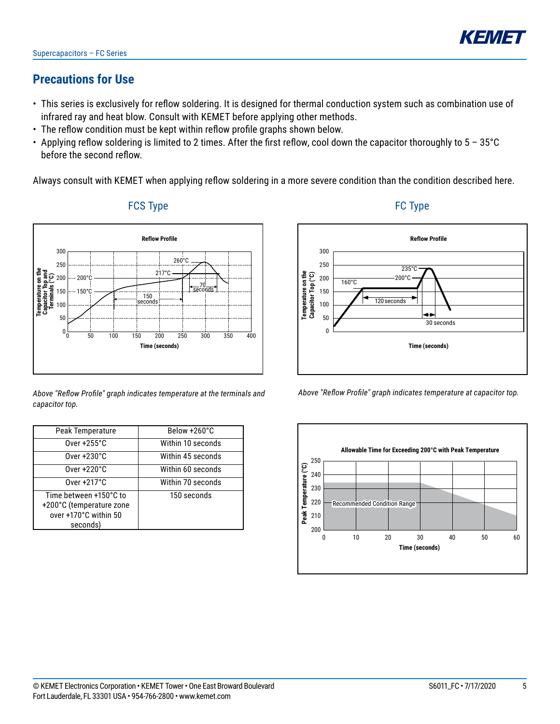

### **Precautions for Use**

- This series is exclusively for reflow soldering. It is designed for thermal conduction system such as combination use of infrared ray and heat blow. Consult with KEMET before applying other methods.
- The reflow condition must be kept within reflow profile graphs shown below.
- Applying reflow soldering is limited to 2 times. After the first reflow, cool down the capacitor thoroughly to  $5 35^{\circ}$ C before the second reflow.

Always consult with KEMET when applying reflow soldering in a more severe condition than the condition described here.



*Above "Reflow Profile" graph indicates temperature at the terminals and capacitor top.*

| Peak Temperature                                                                        | Below +260°C      |
|-----------------------------------------------------------------------------------------|-------------------|
| Over $+255^{\circ}$ C                                                                   | Within 10 seconds |
| Over $+230^{\circ}$ C                                                                   | Within 45 seconds |
| Over $+220^{\circ}$ C                                                                   | Within 60 seconds |
| Over $+217^{\circ}$ C                                                                   | Within 70 seconds |
| Time between +150°C to<br>+200°C (temperature zone<br>over +170°C within 50<br>seconds) | 150 seconds       |

**Reflow Profile** 300 250 235°C Temperature on the<br>Capacitor Top (°C) **Temperature on the Capacitor Top (°C)** 200 200°C 160°C 150 120 seconds 100 50 30 seconds  $\overline{0}$ **Time (seconds)**

*Above "Reflow Profile" graph indicates temperature at capacitor top.*

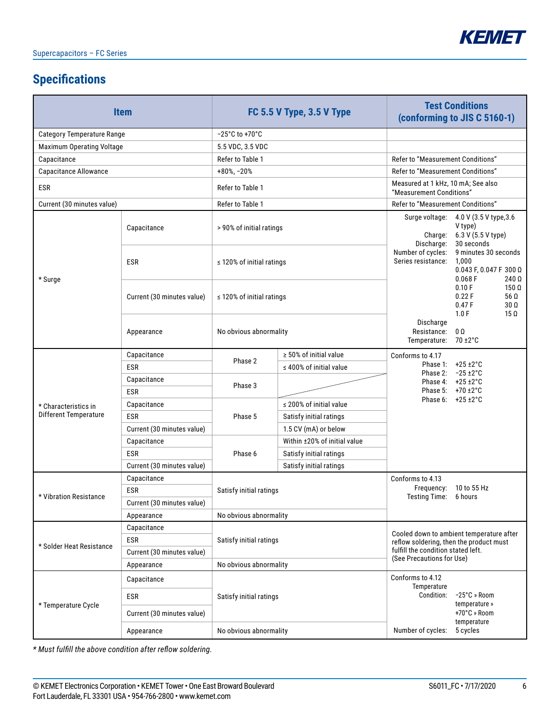

# **Specifications**

| <b>Item</b>                          |                            |                                     | <b>FC 5.5 V Type, 3.5 V Type</b>         | <b>Test Conditions</b><br>(conforming to JIS C 5160-1)         |                                                                                   |  |
|--------------------------------------|----------------------------|-------------------------------------|------------------------------------------|----------------------------------------------------------------|-----------------------------------------------------------------------------------|--|
| <b>Category Temperature Range</b>    |                            | $-25^{\circ}$ C to +70 $^{\circ}$ C |                                          |                                                                |                                                                                   |  |
| Maximum Operating Voltage            |                            | 5.5 VDC, 3.5 VDC                    |                                          |                                                                |                                                                                   |  |
| Capacitance                          |                            | Refer to Table 1                    |                                          | Refer to "Measurement Conditions"                              |                                                                                   |  |
| <b>Capacitance Allowance</b>         |                            | $+80\%$ , $-20\%$                   |                                          | Refer to "Measurement Conditions"                              |                                                                                   |  |
| <b>ESR</b>                           |                            | Refer to Table 1                    |                                          | Measured at 1 kHz, 10 mA; See also<br>"Measurement Conditions" |                                                                                   |  |
| Current (30 minutes value)           |                            | Refer to Table 1                    |                                          | Refer to "Measurement Conditions"                              |                                                                                   |  |
|                                      | Capacitance                | > 90% of initial ratings            |                                          | Surge voltage:<br>Charge:<br>Discharge:                        | 4.0 V (3.5 V type, 3.6<br>V type)<br>6.3 V (5.5 V type)<br>30 seconds             |  |
| * Surge                              | <b>ESR</b>                 | $\leq$ 120% of initial ratings      |                                          | Number of cycles:<br>Series resistance:                        | 9 minutes 30 seconds<br>1,000<br>$0.043$ F, 0.047 F 300 Q<br>0.068F<br>240 Ω      |  |
|                                      | Current (30 minutes value) | $\leq$ 120% of initial ratings      |                                          |                                                                | 0.10 F<br>$150\ \Omega$<br>0.22F<br>56 Ω<br>0.47F<br>30 Q<br>1.0 F<br>$15 \Omega$ |  |
| No obvious abnormality<br>Appearance |                            |                                     | Discharge<br>Resistance:<br>Temperature: | 0Ω<br>70 ±2°C                                                  |                                                                                   |  |
|                                      | Capacitance                | Phase 2                             | $\geq$ 50% of initial value              | Conforms to 4.17                                               | Phase 1: $+25 \pm 2^{\circ}$ C<br>Phase 2: $-25 \pm 2^{\circ}$ C                  |  |
|                                      | <b>ESR</b>                 |                                     | $\leq$ 400% of initial value             |                                                                |                                                                                   |  |
|                                      | Capacitance                | Phase 3                             |                                          |                                                                | Phase 4: +25 ±2°C                                                                 |  |
|                                      | <b>ESR</b>                 |                                     |                                          |                                                                | Phase 5: $+70 \pm 2^{\circ}$ C<br>Phase 6: $+25 \pm 2^{\circ}$ C                  |  |
| * Characteristics in                 | Capacitance                |                                     | $\leq$ 200% of initial value             |                                                                |                                                                                   |  |
| Different Temperature                | <b>ESR</b>                 | Phase 5                             | Satisfy initial ratings                  |                                                                |                                                                                   |  |
|                                      | Current (30 minutes value) |                                     | 1.5 CV (mA) or below                     |                                                                |                                                                                   |  |
|                                      | Capacitance                |                                     | Within ±20% of initial value             |                                                                |                                                                                   |  |
|                                      | <b>ESR</b>                 | Phase 6                             | Satisfy initial ratings                  |                                                                |                                                                                   |  |
|                                      | Current (30 minutes value) |                                     | Satisfy initial ratings                  |                                                                |                                                                                   |  |
|                                      | Capacitance                |                                     |                                          | Conforms to 4.13                                               | 10 to 55 Hz                                                                       |  |
| * Vibration Resistance               | <b>ESR</b>                 | Satisfy initial ratings             |                                          | Frequency:<br>Testing Time: 6 hours                            |                                                                                   |  |
|                                      | Current (30 minutes value) |                                     |                                          |                                                                |                                                                                   |  |
|                                      | Appearance                 | No obvious abnormality              |                                          |                                                                |                                                                                   |  |
|                                      | Capacitance                |                                     |                                          |                                                                | Cooled down to ambient temperature after                                          |  |
| * Solder Heat Resistance             | <b>ESR</b>                 | Satisfy initial ratings             |                                          | fulfill the condition stated left.                             | reflow soldering, then the product must                                           |  |
|                                      | Current (30 minutes value) |                                     |                                          | (See Precautions for Use)                                      |                                                                                   |  |
|                                      | Appearance                 | No obvious abnormality              |                                          |                                                                |                                                                                   |  |
|                                      | Capacitance                |                                     |                                          | Conforms to 4.12<br>Temperature                                |                                                                                   |  |
| * Temperature Cycle                  | ESR                        | Satisfy initial ratings             |                                          | Condition:                                                     | -25°C » Room<br>temperature »                                                     |  |
|                                      | Current (30 minutes value) |                                     |                                          |                                                                | +70°C » Room<br>temperature                                                       |  |
|                                      | Appearance                 | No obvious abnormality              |                                          | Number of cycles:                                              | 5 cycles                                                                          |  |

*\* Must fulfill the above condition after reflow soldering.*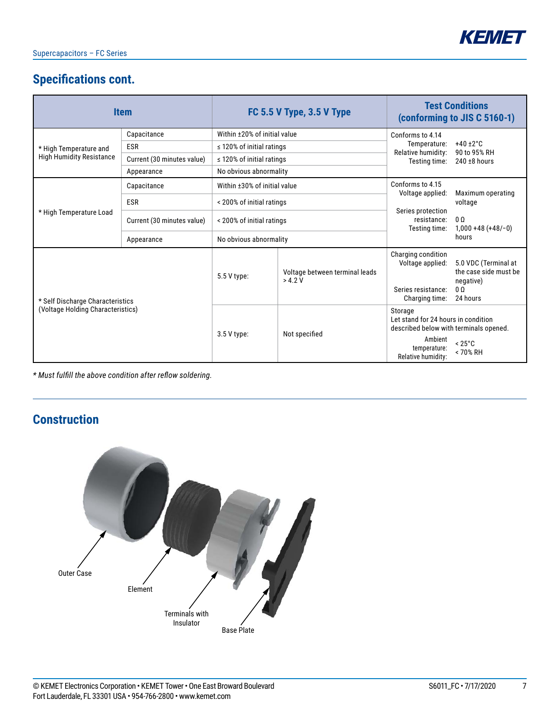

## **Specifications cont.**

| <b>Item</b>                                                           |                            |                                | <b>FC 5.5 V Type, 3.5 V Type</b>        | <b>Test Conditions</b><br>(conforming to JIS C 5160-1)                                                                                    |                                                                                     |
|-----------------------------------------------------------------------|----------------------------|--------------------------------|-----------------------------------------|-------------------------------------------------------------------------------------------------------------------------------------------|-------------------------------------------------------------------------------------|
|                                                                       | Capacitance                | Within ±20% of initial value   |                                         | Conforms to 4.14                                                                                                                          | $+40 \pm 2$ °C                                                                      |
| * High Temperature and                                                | <b>ESR</b>                 | $\leq$ 120% of initial ratings |                                         | Temperature:<br>Relative humidity:                                                                                                        |                                                                                     |
| <b>High Humidity Resistance</b>                                       | Current (30 minutes value) | $\leq$ 120% of initial ratings |                                         | Testing time:                                                                                                                             | 90 to 95% RH<br>$240 \pm 8$ hours                                                   |
|                                                                       | Appearance                 | No obvious abnormality         |                                         |                                                                                                                                           |                                                                                     |
|                                                                       | Capacitance                | Within ±30% of initial value   |                                         | Conforms to 4.15<br>Voltage applied:                                                                                                      | Maximum operating                                                                   |
|                                                                       | ESR                        | < 200% of initial ratings      |                                         |                                                                                                                                           | voltage<br>0 <sub>0</sub><br>$1,000 + 48 (+48/-0)$                                  |
| * High Temperature Load                                               | Current (30 minutes value) | < 200% of initial ratings      |                                         | Series protection<br>resistance:<br>Testing time:                                                                                         |                                                                                     |
|                                                                       | Appearance                 | No obvious abnormality         |                                         |                                                                                                                                           | hours                                                                               |
| * Self Discharge Characteristics<br>(Voltage Holding Characteristics) |                            | 5.5 V type:                    | Voltage between terminal leads<br>>4.2V | Charging condition<br>Voltage applied:<br>Series resistance:<br>Charging time:                                                            | 5.0 VDC (Terminal at<br>the case side must be<br>negative)<br>$0\Omega$<br>24 hours |
|                                                                       |                            | 3.5 V type:<br>Not specified   |                                         | Storage<br>Let stand for 24 hours in condition<br>described below with terminals opened.<br>Ambient<br>temperature:<br>Relative humidity: | $< 25^{\circ}$ C<br>< 70% RH                                                        |

*\* Must fulfill the above condition after reflow soldering.* 

### **Construction**

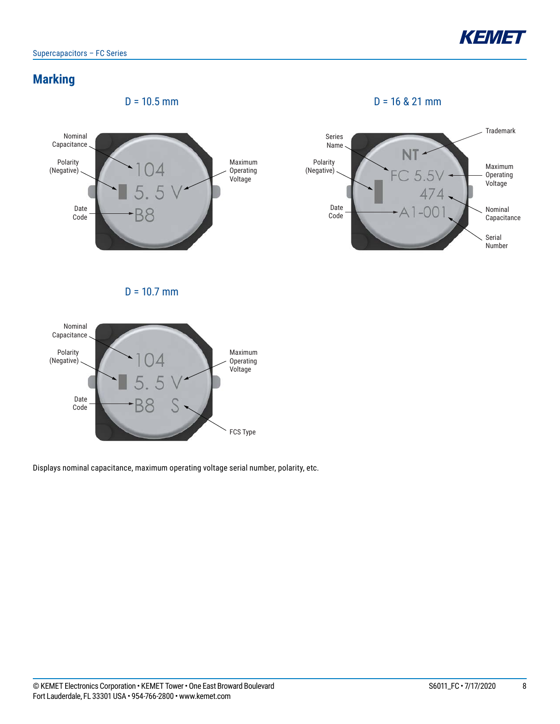

### **Marking**



Displays nominal capacitance, maximum operating voltage serial number, polarity, etc.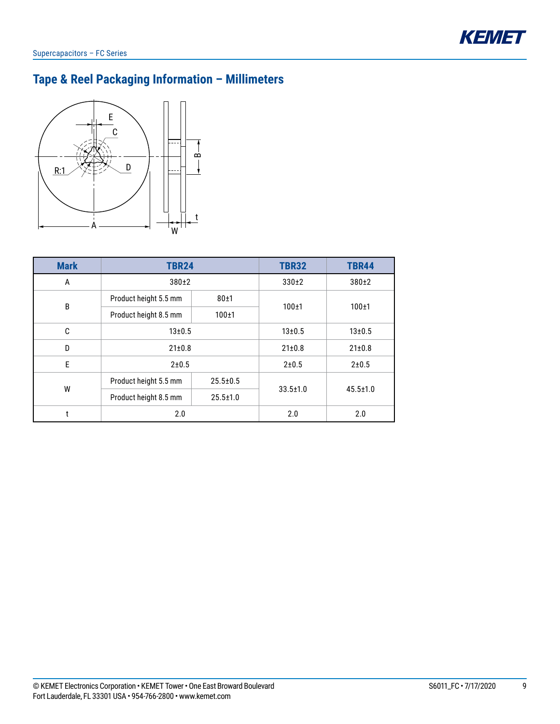![](_page_8_Picture_0.jpeg)

# **Tape & Reel Packaging Information – Millimeters**

![](_page_8_Figure_3.jpeg)

| <b>Mark</b> | <b>TBR24</b>                            |                | <b>TBR32</b>   | <b>TBR44</b>   |  |
|-------------|-----------------------------------------|----------------|----------------|----------------|--|
| A           | $380+2$                                 |                | $330+2$        | $380+2$        |  |
| B           | Product height 5.5 mm                   | 80±1           |                | $100 + 1$      |  |
|             | Product height 8.5 mm                   | $100+1$        | $100+1$        |                |  |
| C           | $13 + 0.5$                              |                | $13 \pm 0.5$   | $13 \pm 0.5$   |  |
| D           | $21 \pm 0.8$                            |                | $21 \pm 0.8$   | 21±0.8         |  |
| E           | $2 + 0.5$                               |                | $2 + 0.5$      | $2 + 0.5$      |  |
|             | Product height 5.5 mm                   | $25.5 \pm 0.5$ |                |                |  |
| W           | Product height 8.5 mm<br>$25.5 \pm 1.0$ |                | $33.5 \pm 1.0$ | $45.5 \pm 1.0$ |  |
|             | 2.0                                     |                | 2.0            | 2.0            |  |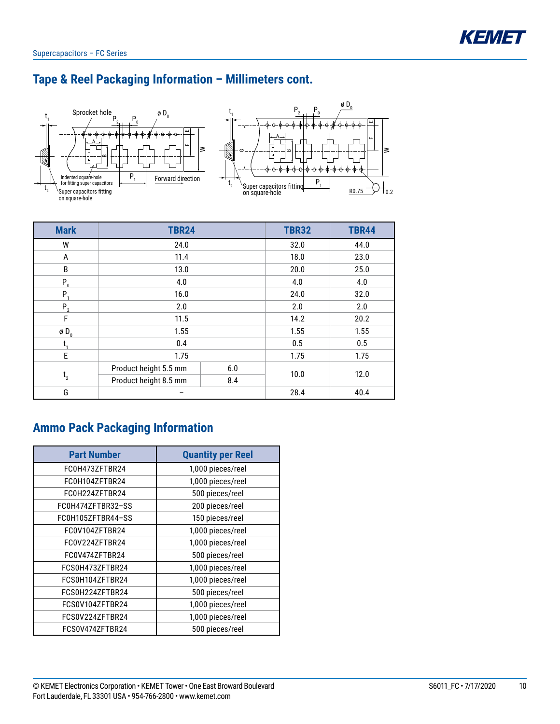### **Tape & Reel Packaging Information – Millimeters cont.**

![](_page_9_Figure_3.jpeg)

| <b>Mark</b>                | <b>TBR24</b>                 |      | <b>TBR32</b> | <b>TBR44</b> |
|----------------------------|------------------------------|------|--------------|--------------|
| W                          | 24.0                         |      | 32.0         | 44.0         |
| А                          | 11.4                         |      | 18.0         | 23.0         |
| B                          | 13.0                         |      | 20.0         | 25.0         |
| $P_0$                      | 4.0                          |      | 4.0          | 4.0          |
| $P_{1}$                    | 16.0                         | 24.0 | 32.0         |              |
| $P_{2}$                    | 2.0                          | 2.0  | 2.0          |              |
| F                          | 11.5                         |      | 14.2         | 20.2         |
| $\emptyset$ D <sub>0</sub> | 1.55                         |      | 1.55         | 1.55         |
| t,                         | 0.4                          |      | 0.5          | 0.5          |
| E                          | 1.75                         | 1.75 | 1.75         |              |
|                            | Product height 5.5 mm<br>6.0 |      |              | 12.0         |
| $t_{2}$                    | Product height 8.5 mm<br>8.4 |      | 10.0         |              |
| G                          |                              |      | 28.4         | 40.4         |

## **Ammo Pack Packaging Information**

| <b>Part Number</b> | <b>Quantity per Reel</b> |
|--------------------|--------------------------|
| FC0H473ZFTBR24     | 1,000 pieces/reel        |
| FC0H104ZFTBR24     | 1,000 pieces/reel        |
| FC0H224ZFTBR24     | 500 pieces/reel          |
| FC0H474ZFTBR32-SS  | 200 pieces/reel          |
| FC0H105ZFTBR44-SS  | 150 pieces/reel          |
| FC0V104ZFTBR24     | 1,000 pieces/reel        |
| FC0V224ZFTBR24     | 1,000 pieces/reel        |
| FC0V474ZFTBR24     | 500 pieces/reel          |
| FCS0H473ZFTBR24    | 1,000 pieces/reel        |
| FCS0H104ZFTBR24    | 1,000 pieces/reel        |
| FCS0H224ZFTBR24    | 500 pieces/reel          |
| FCS0V104ZFTBR24    | 1,000 pieces/reel        |
| FCS0V224ZFTBR24    | 1,000 pieces/reel        |
| FCS0V474ZFTBR24    | 500 pieces/reel          |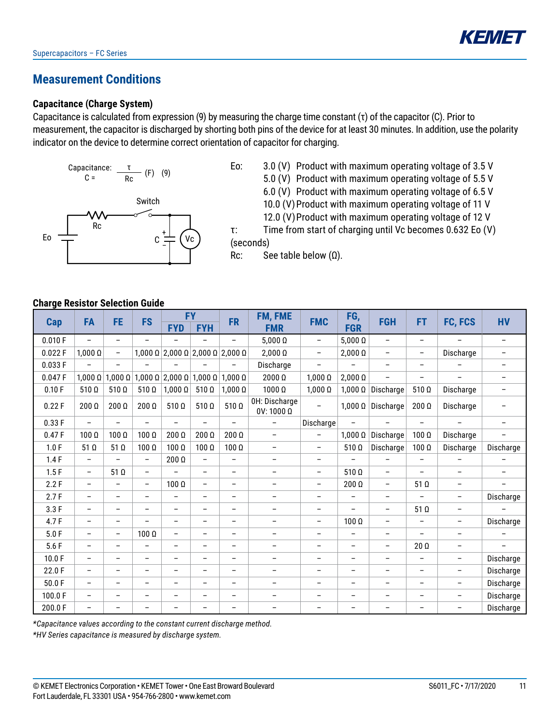![](_page_10_Picture_1.jpeg)

### **Measurement Conditions**

#### **Capacitance (Charge System)**

Capacitance is calculated from expression (9) by measuring the charge time constant  $(\tau)$  of the capacitor (C). Prior to measurement, the capacitor is discharged by shorting both pins of the device for at least 30 minutes. In addition, use the polarity indicator on the device to determine correct orientation of capacitor for charging.

Capacitance: 
$$
\frac{\tau}{\text{Rc}}
$$
 (F) (9)

Switch

C + –

Vc

5.0 (V) Product with maximum operating voltage of 5.5 V

6.0 (V) Product with maximum operating voltage of 6.5 V

- 10.0 (V) Product with maximum operating voltage of 11 V
- 12.0 (V) Product with maximum operating voltage of 12 V

τ: Time from start of charging until Vc becomes 0.632 Eo (V) (seconds)

Rc: See table below  $(Ω)$ .

**Charge Resistor Selection Guide**

Rc

Eo

| Cap     | FA                       | FE.                      | <b>FS</b>                | <b>FY</b>                           |                          | <b>FR</b>                         | FM, FME                            |                          | FG,                      | <b>FGH</b>               | <b>FT</b>                |                          | <b>HV</b>                |
|---------|--------------------------|--------------------------|--------------------------|-------------------------------------|--------------------------|-----------------------------------|------------------------------------|--------------------------|--------------------------|--------------------------|--------------------------|--------------------------|--------------------------|
|         |                          |                          |                          | <b>FYD</b>                          | <b>FYH</b>               |                                   | <b>FMR</b>                         | <b>FMC</b>               | <b>FGR</b>               |                          |                          | FC, FCS                  |                          |
| 0.010 F | $\equiv$                 |                          | $\overline{\phantom{0}}$ |                                     |                          |                                   | $5,000 \Omega$                     | $\overline{\phantom{0}}$ | $5,000 \Omega$           | $\qquad \qquad -$        | $\overline{\phantom{0}}$ | $\overline{\phantom{0}}$ | $\overline{\phantom{a}}$ |
| 0.022F  | $1,000\ \Omega$          | $\overline{\phantom{a}}$ |                          |                                     |                          | $1,000$ Ω 2,000 Ω 2,000 Ω 2,000 Ω | $2,000\Omega$                      | -                        | $2,000\ \Omega$          | $\overline{\phantom{m}}$ | $\qquad \qquad -$        | Discharge                | $\overline{\phantom{a}}$ |
| 0.033 F |                          |                          |                          |                                     |                          |                                   | Discharge                          | $\overline{\phantom{0}}$ |                          | $\overline{\phantom{0}}$ | $\overline{\phantom{0}}$ |                          | -                        |
| 0.047F  | $1,000 \Omega$           | $1,000 \Omega$           |                          | $1,000$ Ω $ 2,000$ Ω $ 1,000$ Ω $ $ |                          | $1,000\ \Omega$                   | 2000 Ω                             | $1,000\ \Omega$          | $2,000\ \Omega$          | $\qquad \qquad -$        | —                        | $\overline{\phantom{0}}$ | $\overline{\phantom{a}}$ |
| 0.10 F  | $510 \Omega$             | $510 \Omega$             | $510 \Omega$             | $1,000 \Omega$                      | $510 \Omega$             | $1,000\ \Omega$                   | $1000\ \Omega$                     | $1,000\ \Omega$          | $1,000 \Omega$           | Discharge                | $510 \Omega$             | Discharge                | -                        |
| 0.22F   | $200\Omega$              | $200\Omega$              | 200 $\Omega$             | 510 $\Omega$                        | 510 $\Omega$             | 510 $\Omega$                      | OH: Discharge<br>$0V: 1000 \Omega$ | $\overline{\phantom{0}}$ | $1,000 \Omega$           | Discharge                | $200\Omega$              | Discharge                |                          |
| 0.33F   | $\equiv$                 |                          | $\overline{\phantom{0}}$ |                                     | -                        | $\overline{\phantom{0}}$          | $\qquad \qquad -$                  | Discharge                | $\overline{\phantom{a}}$ |                          |                          | $\qquad \qquad -$        | $\overline{\phantom{a}}$ |
| 0.47F   | $100\Omega$              | $100\ \Omega$            | $100\ \Omega$            | $200\Omega$                         | 200 Ω                    | $200\Omega$                       | $\overline{\phantom{0}}$           | -                        | $1,000 \Omega$           | Discharge                | $100 \Omega$             | Discharge                |                          |
| 1.0 F   | $51 \Omega$              | 51 $\Omega$              | $100\ \Omega$            | $100\ \Omega$                       | $100\ \Omega$            | $100\ \Omega$                     | $\qquad \qquad -$                  | -                        | $510 \Omega$             | Discharge                | $100 \Omega$             | Discharge                | Discharge                |
| 1.4F    | $\qquad \qquad -$        |                          | $\overline{\phantom{0}}$ | $200\Omega$                         | $\qquad \qquad -$        | $\overline{\phantom{0}}$          | $\qquad \qquad -$                  | -                        |                          |                          |                          |                          |                          |
| 1.5F    | $\overline{\phantom{a}}$ | 51 $\Omega$              | $\overline{\phantom{0}}$ |                                     | $\overline{\phantom{0}}$ | $\overline{\phantom{0}}$          | $\qquad \qquad -$                  | $\overline{\phantom{0}}$ | $510 \Omega$             | $\overline{\phantom{m}}$ |                          | $\overline{\phantom{0}}$ | $\overline{\phantom{m}}$ |
| 2.2 F   | $\qquad \qquad -$        |                          | $\overline{\phantom{0}}$ | $100\ \Omega$                       | $\qquad \qquad -$        | $\qquad \qquad -$                 | $\qquad \qquad -$                  | -                        | $200\Omega$              | $\qquad \qquad -$        | $51 \Omega$              | $\qquad \qquad -$        |                          |
| 2.7F    | $\qquad \qquad -$        |                          | $\overline{\phantom{0}}$ |                                     | -                        | $\overline{\phantom{0}}$          | $\qquad \qquad -$                  | -                        | $\qquad \qquad -$        | $\overline{\phantom{a}}$ |                          | $\qquad \qquad -$        | Discharge                |
| 3.3F    | $\qquad \qquad -$        | $\overline{\phantom{0}}$ | -                        | $\overline{\phantom{a}}$            | -                        | $\qquad \qquad -$                 | $\overline{\phantom{0}}$           | -                        | $\overline{\phantom{a}}$ | $\qquad \qquad -$        | $51 \Omega$              | $\qquad \qquad -$        |                          |
| 4.7 F   | $\qquad \qquad -$        | -                        |                          | $\overline{\phantom{m}}$            | -                        | -                                 | $\qquad \qquad -$                  | -                        | $100 \Omega$             | $\qquad \qquad$          | $\qquad \qquad -$        | -                        | Discharge                |
| 5.0F    | $\qquad \qquad -$        | $\overline{\phantom{a}}$ | $100\ \Omega$            | $\overline{\phantom{m}}$            | -                        | $\qquad \qquad -$                 | $\qquad \qquad -$                  | -                        | $\overline{\phantom{a}}$ | $\overline{\phantom{a}}$ | -                        | -                        |                          |
| 5.6F    | $\qquad \qquad -$        | $\overline{\phantom{0}}$ | $\overline{\phantom{0}}$ | $\overline{\phantom{a}}$            | -                        | -                                 | $\overline{\phantom{0}}$           | -                        | $\overline{\phantom{a}}$ | $\qquad \qquad$          | $20\Omega$               | —                        | $\overline{\phantom{m}}$ |
| 10.0 F  | $\qquad \qquad -$        | $\overline{\phantom{0}}$ | $\overline{\phantom{0}}$ | $\overline{\phantom{a}}$            | -                        | $\qquad \qquad -$                 | $\qquad \qquad -$                  | -                        | $\overline{\phantom{a}}$ | $\overline{\phantom{a}}$ | $\overline{\phantom{0}}$ | $\overline{\phantom{m}}$ | Discharge                |
| 22.0F   | $\qquad \qquad -$        | $\overline{\phantom{0}}$ | $\overline{\phantom{0}}$ | $\overline{\phantom{a}}$            | -                        | -                                 | $\qquad \qquad -$                  | -                        | $\overline{\phantom{a}}$ | $\overline{\phantom{a}}$ | -                        | $\overline{\phantom{a}}$ | Discharge                |
| 50.0 F  | $\qquad \qquad -$        |                          | -                        | $\overline{\phantom{a}}$            | $\qquad \qquad -$        | $\qquad \qquad -$                 | $\overline{\phantom{a}}$           | -                        | $\overline{\phantom{a}}$ | $\overline{\phantom{a}}$ | $\overline{\phantom{0}}$ | $\overline{\phantom{a}}$ | Discharge                |
| 100.0F  | $\qquad \qquad -$        | -                        | $\overline{\phantom{0}}$ | $\overline{\phantom{a}}$            | -                        | $\qquad \qquad -$                 | $\overline{\phantom{0}}$           | -                        | $\overline{\phantom{a}}$ | $\overline{\phantom{a}}$ | -                        | -                        | Discharge                |
| 200.0F  | $\overline{\phantom{0}}$ |                          |                          | $\overline{\phantom{0}}$            | -                        | -                                 | $\qquad \qquad -$                  | -                        | -                        | $\overline{\phantom{a}}$ |                          | —                        | Discharge                |

*\*Capacitance values according to the constant current discharge method.*

*\*HV Series capacitance is measured by discharge system.*

![](_page_10_Figure_17.jpeg)

Eo: 3.0 (V) Product with maximum operating voltage of 3.5 V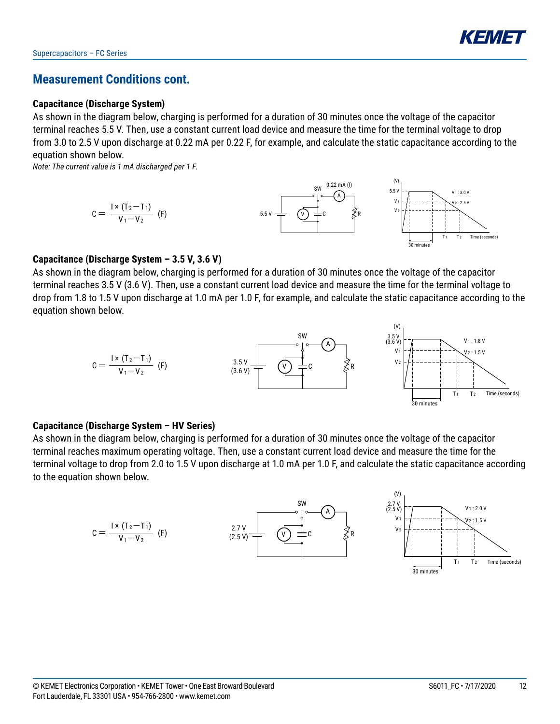![](_page_11_Picture_1.jpeg)

### **Measurement Conditions cont.**

#### **Capacitance (Discharge System)**

As shown in the diagram below, charging is performed for a duration of 30 minutes once the voltage of the capacitor terminal reaches 5.5 V. Then, use a constant current load device and measure the time for the terminal voltage to drop from 3.0 to 2.5 V upon discharge at 0.22 mA per 0.22 F, for example, and calculate the static capacitance according to the equation shown below.

*Note: The current value is 1 mA discharged per 1 F.*

![](_page_11_Figure_6.jpeg)

#### **Capacitance (Discharge System – 3.5 V, 3.6 V)**

As shown in the diagram below, charging is performed for a duration of 30 minutes once the voltage of the capacitor terminal reaches 3.5 V (3.6 V). Then, use a constant current load device and measure the time for the terminal voltage to drop from 1.8 to 1.5 V upon discharge at 1.0 mA per 1.0 F, for example, and calculate the static capacitance according to the equation shown below.

![](_page_11_Figure_9.jpeg)

#### **Capacitance (Discharge System – HV Series)**

As shown in the diagram below, charging is performed for a duration of 30 minutes once the voltage of the capacitor terminal reaches maximum operating voltage. Then, use a constant current load device and measure the time for the terminal voltage to drop from 2.0 to 1.5 V upon discharge at 1.0 mA per 1.0 F, and calculate the static capacitance according to the equation shown below.

![](_page_11_Figure_12.jpeg)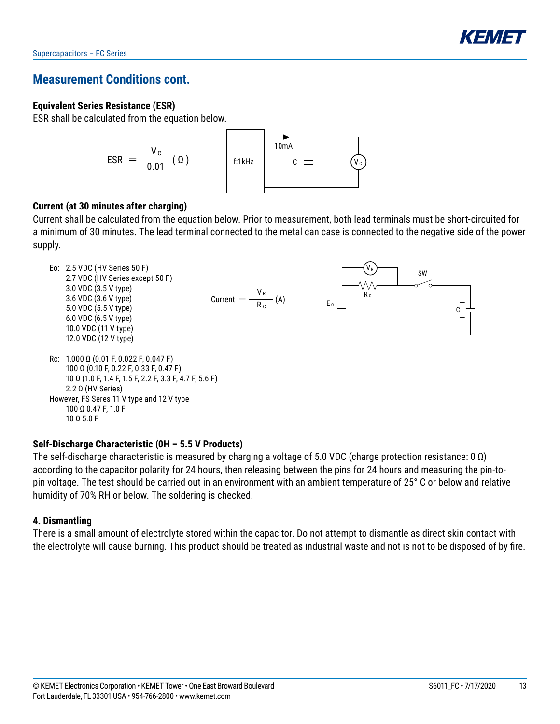### **Measurement Conditions cont.**

### **Equivalent Series Resistance (ESR)**

ESR shall be calculated from the equation below.

![](_page_12_Figure_5.jpeg)

#### **Current (at 30 minutes after charging)**

Current shall be calculated from the equation below. Prior to measurement, both lead terminals must be short-circuited for a minimum of 30 minutes. The lead terminal connected to the metal can case is connected to the negative side of the power supply.

![](_page_12_Figure_8.jpeg)

#### $10$  Q 5.0 F

#### **Self-Discharge Characteristic (0H – 5.5 V Products)**

The self-discharge characteristic is measured by charging a voltage of 5.0 VDC (charge protection resistance: 0  $\Omega$ ) according to the capacitor polarity for 24 hours, then releasing between the pins for 24 hours and measuring the pin-topin voltage. The test should be carried out in an environment with an ambient temperature of 25° C or below and relative humidity of 70% RH or below. The soldering is checked.

#### **4. Dismantling**

There is a small amount of electrolyte stored within the capacitor. Do not attempt to dismantle as direct skin contact with the electrolyte will cause burning. This product should be treated as industrial waste and not is not to be disposed of by fire.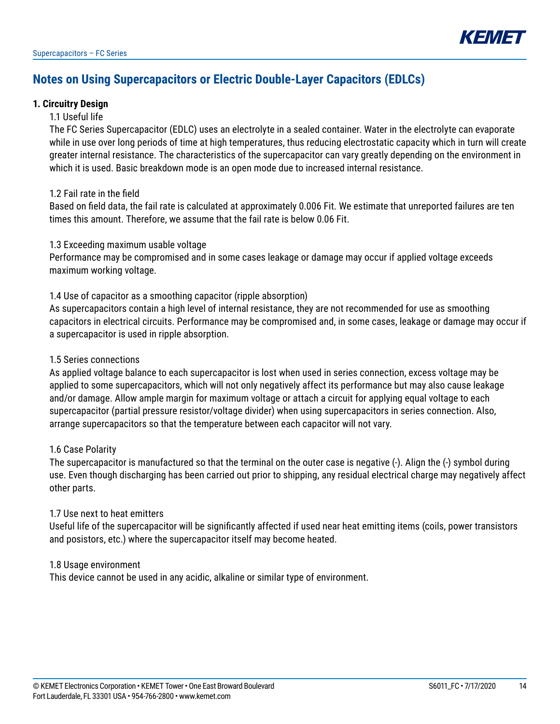![](_page_13_Picture_1.jpeg)

### **Notes on Using Supercapacitors or Electric Double-Layer Capacitors (EDLCs)**

#### **1. Circuitry Design**

#### 1.1 Useful life

The FC Series Supercapacitor (EDLC) uses an electrolyte in a sealed container. Water in the electrolyte can evaporate while in use over long periods of time at high temperatures, thus reducing electrostatic capacity which in turn will create greater internal resistance. The characteristics of the supercapacitor can vary greatly depending on the environment in which it is used. Basic breakdown mode is an open mode due to increased internal resistance.

#### 1.2 Fail rate in the field

Based on field data, the fail rate is calculated at approximately 0.006 Fit. We estimate that unreported failures are ten times this amount. Therefore, we assume that the fail rate is below 0.06 Fit.

#### 1.3 Exceeding maximum usable voltage

Performance may be compromised and in some cases leakage or damage may occur if applied voltage exceeds maximum working voltage.

1.4 Use of capacitor as a smoothing capacitor (ripple absorption)

As supercapacitors contain a high level of internal resistance, they are not recommended for use as smoothing capacitors in electrical circuits. Performance may be compromised and, in some cases, leakage or damage may occur if a supercapacitor is used in ripple absorption.

#### 1.5 Series connections

As applied voltage balance to each supercapacitor is lost when used in series connection, excess voltage may be applied to some supercapacitors, which will not only negatively affect its performance but may also cause leakage and/or damage. Allow ample margin for maximum voltage or attach a circuit for applying equal voltage to each supercapacitor (partial pressure resistor/voltage divider) when using supercapacitors in series connection. Also, arrange supercapacitors so that the temperature between each capacitor will not vary.

#### 1.6 Case Polarity

The supercapacitor is manufactured so that the terminal on the outer case is negative (-). Align the (-) symbol during use. Even though discharging has been carried out prior to shipping, any residual electrical charge may negatively affect other parts.

#### 1.7 Use next to heat emitters

Useful life of the supercapacitor will be significantly affected if used near heat emitting items (coils, power transistors and posistors, etc.) where the supercapacitor itself may become heated.

1.8 Usage environment

This device cannot be used in any acidic, alkaline or similar type of environment.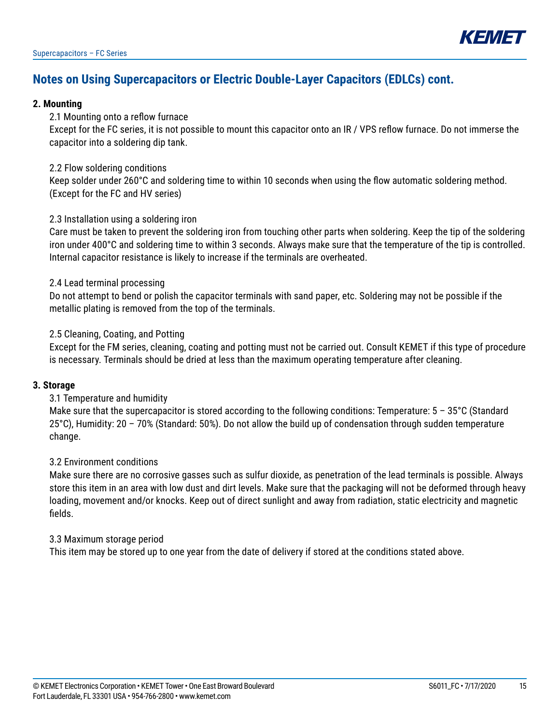![](_page_14_Picture_1.jpeg)

### **Notes on Using Supercapacitors or Electric Double-Layer Capacitors (EDLCs) cont.**

#### **2. Mounting**

#### 2.1 Mounting onto a reflow furnace

Except for the FC series, it is not possible to mount this capacitor onto an IR / VPS reflow furnace. Do not immerse the capacitor into a soldering dip tank.

#### 2.2 Flow soldering conditions

Keep solder under 260°C and soldering time to within 10 seconds when using the flow automatic soldering method. (Except for the FC and HV series)

#### 2.3 Installation using a soldering iron

Care must be taken to prevent the soldering iron from touching other parts when soldering. Keep the tip of the soldering iron under 400°C and soldering time to within 3 seconds. Always make sure that the temperature of the tip is controlled. Internal capacitor resistance is likely to increase if the terminals are overheated.

#### 2.4 Lead terminal processing

Do not attempt to bend or polish the capacitor terminals with sand paper, etc. Soldering may not be possible if the metallic plating is removed from the top of the terminals.

#### 2.5 Cleaning, Coating, and Potting

Except for the FM series, cleaning, coating and potting must not be carried out. Consult KEMET if this type of procedure is necessary. Terminals should be dried at less than the maximum operating temperature after cleaning.

#### **3. Storage**

### 3.1 Temperature and humidity

Make sure that the supercapacitor is stored according to the following conditions: Temperature:  $5 - 35^{\circ}$ C (Standard 25°C), Humidity: 20 – 70% (Standard: 50%). Do not allow the build up of condensation through sudden temperature change.

#### 3.2 Environment conditions

Make sure there are no corrosive gasses such as sulfur dioxide, as penetration of the lead terminals is possible. Always store this item in an area with low dust and dirt levels. Make sure that the packaging will not be deformed through heavy loading, movement and/or knocks. Keep out of direct sunlight and away from radiation, static electricity and magnetic fields.

#### 3.3 Maximum storage period

This item may be stored up to one year from the date of delivery if stored at the conditions stated above.